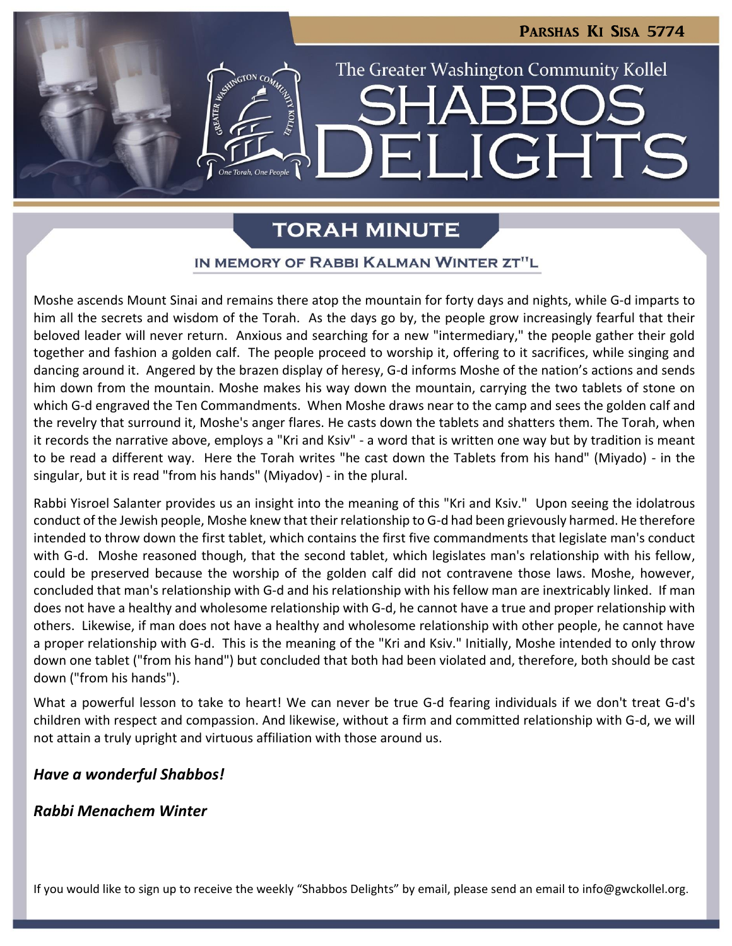LIGHTS

The Greater Washington Community Kollel

# **TORAH MINUTE**

## IN MEMORY OF RABBI KALMAN WINTER ZT"L

Moshe ascends Mount Sinai and remains there atop the mountain for forty days and nights, while G-d imparts to him all the secrets and wisdom of the Torah. As the days go by, the people grow increasingly fearful that their beloved leader will never return. Anxious and searching for a new "intermediary," the people gather their gold together and fashion a golden calf. The people proceed to worship it, offering to it sacrifices, while singing and dancing around it. Angered by the brazen display of heresy, G-d informs Moshe of the nation's actions and sends him down from the mountain. Moshe makes his way down the mountain, carrying the two tablets of stone on which G-d engraved the Ten Commandments. When Moshe draws near to the camp and sees the golden calf and the revelry that surround it, Moshe's anger flares. He casts down the tablets and shatters them. The Torah, when it records the narrative above, employs a "Kri and Ksiv" - a word that is written one way but by tradition is meant to be read a different way. Here the Torah writes "he cast down the Tablets from his hand" (Miyado) - in the singular, but it is read "from his hands" (Miyadov) - in the plural.

Rabbi Yisroel Salanter provides us an insight into the meaning of this "Kri and Ksiv." Upon seeing the idolatrous conduct of the Jewish people, Moshe knew that their relationship to G-d had been grievously harmed. He therefore intended to throw down the first tablet, which contains the first five commandments that legislate man's conduct with G-d. Moshe reasoned though, that the second tablet, which legislates man's relationship with his fellow, could be preserved because the worship of the golden calf did not contravene those laws. Moshe, however, concluded that man's relationship with G-d and his relationship with his fellow man are inextricably linked. If man does not have a healthy and wholesome relationship with G-d, he cannot have a true and proper relationship with others. Likewise, if man does not have a healthy and wholesome relationship with other people, he cannot have a proper relationship with G-d. This is the meaning of the "Kri and Ksiv." Initially, Moshe intended to only throw down one tablet ("from his hand") but concluded that both had been violated and, therefore, both should be cast down ("from his hands").

What a powerful lesson to take to heart! We can never be true G-d fearing individuals if we don't treat G-d's children with respect and compassion. And likewise, without a firm and committed relationship with G-d, we will not attain a truly upright and virtuous affiliation with those around us.

## *Have a wonderful Shabbos!*

*Rabbi Menachem Winter*

If you would like to sign up to receive the weekly "Shabbos Delights" by email, please send an email to [info@gwckollel.org](mailto:info@gwckollel.org).